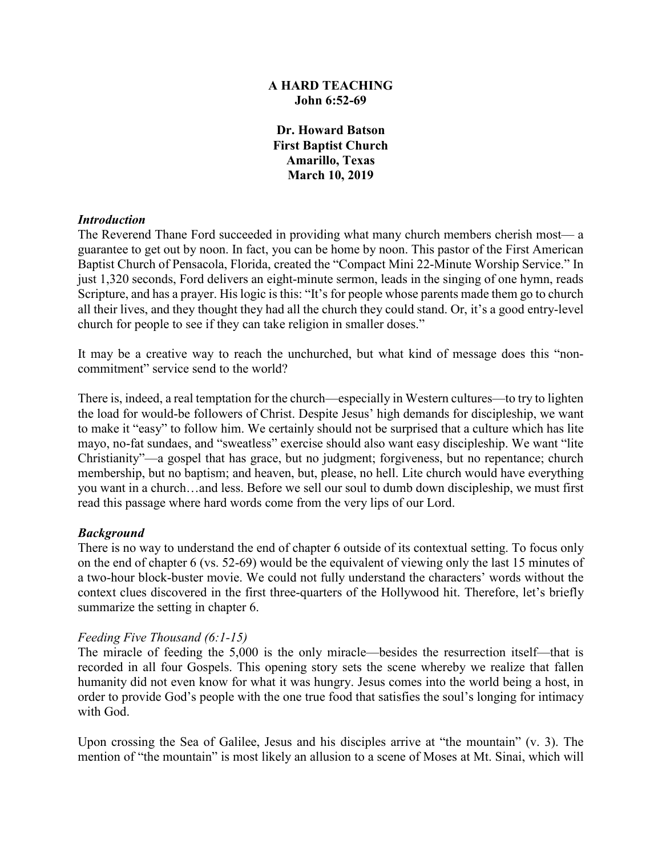### **A HARD TEACHING John 6:52-69**

**Dr. Howard Batson First Baptist Church Amarillo, Texas March 10, 2019**

#### *Introduction*

The Reverend Thane Ford succeeded in providing what many church members cherish most— a guarantee to get out by noon. In fact, you can be home by noon. This pastor of the First American Baptist Church of Pensacola, Florida, created the "Compact Mini 22-Minute Worship Service." In just 1,320 seconds, Ford delivers an eight-minute sermon, leads in the singing of one hymn, reads Scripture, and has a prayer. His logic is this: "It's for people whose parents made them go to church all their lives, and they thought they had all the church they could stand. Or, it's a good entry-level church for people to see if they can take religion in smaller doses."

It may be a creative way to reach the unchurched, but what kind of message does this "noncommitment" service send to the world?

There is, indeed, a real temptation for the church—especially in Western cultures—to try to lighten the load for would-be followers of Christ. Despite Jesus' high demands for discipleship, we want to make it "easy" to follow him. We certainly should not be surprised that a culture which has lite mayo, no-fat sundaes, and "sweatless" exercise should also want easy discipleship. We want "lite Christianity"—a gospel that has grace, but no judgment; forgiveness, but no repentance; church membership, but no baptism; and heaven, but, please, no hell. Lite church would have everything you want in a church…and less. Before we sell our soul to dumb down discipleship, we must first read this passage where hard words come from the very lips of our Lord.

### *Background*

There is no way to understand the end of chapter 6 outside of its contextual setting. To focus only on the end of chapter 6 (vs. 52-69) would be the equivalent of viewing only the last 15 minutes of a two-hour block-buster movie. We could not fully understand the characters' words without the context clues discovered in the first three-quarters of the Hollywood hit. Therefore, let's briefly summarize the setting in chapter 6.

### *Feeding Five Thousand (6:1-15)*

The miracle of feeding the 5,000 is the only miracle—besides the resurrection itself—that is recorded in all four Gospels. This opening story sets the scene whereby we realize that fallen humanity did not even know for what it was hungry. Jesus comes into the world being a host, in order to provide God's people with the one true food that satisfies the soul's longing for intimacy with God.

Upon crossing the Sea of Galilee, Jesus and his disciples arrive at "the mountain" (v. 3). The mention of "the mountain" is most likely an allusion to a scene of Moses at Mt. Sinai, which will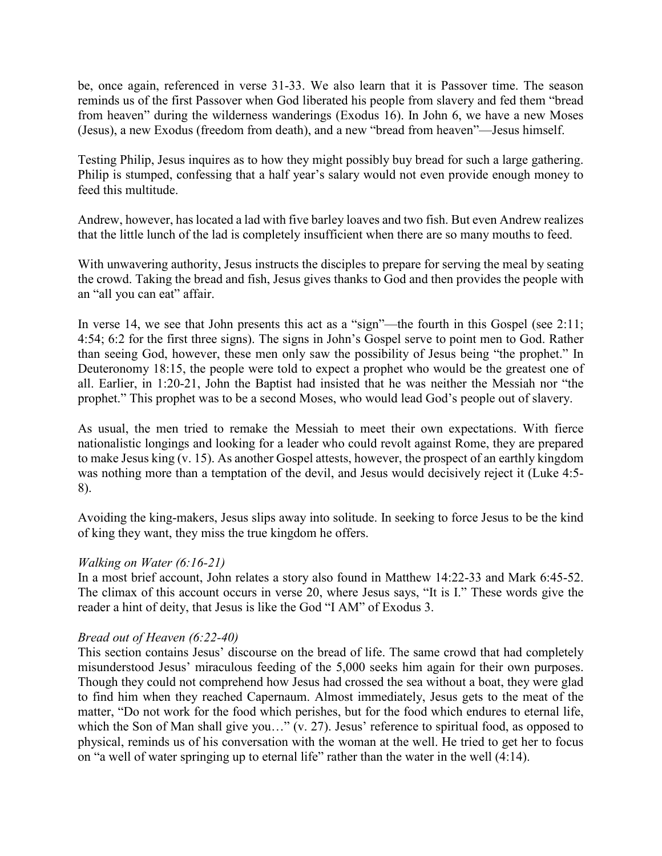be, once again, referenced in verse 31-33. We also learn that it is Passover time. The season reminds us of the first Passover when God liberated his people from slavery and fed them "bread from heaven" during the wilderness wanderings (Exodus 16). In John 6, we have a new Moses (Jesus), a new Exodus (freedom from death), and a new "bread from heaven"—Jesus himself.

Testing Philip, Jesus inquires as to how they might possibly buy bread for such a large gathering. Philip is stumped, confessing that a half year's salary would not even provide enough money to feed this multitude.

Andrew, however, has located a lad with five barley loaves and two fish. But even Andrew realizes that the little lunch of the lad is completely insufficient when there are so many mouths to feed.

With unwavering authority, Jesus instructs the disciples to prepare for serving the meal by seating the crowd. Taking the bread and fish, Jesus gives thanks to God and then provides the people with an "all you can eat" affair.

In verse 14, we see that John presents this act as a "sign"—the fourth in this Gospel (see 2:11; 4:54; 6:2 for the first three signs). The signs in John's Gospel serve to point men to God. Rather than seeing God, however, these men only saw the possibility of Jesus being "the prophet." In Deuteronomy 18:15, the people were told to expect a prophet who would be the greatest one of all. Earlier, in 1:20-21, John the Baptist had insisted that he was neither the Messiah nor "the prophet." This prophet was to be a second Moses, who would lead God's people out of slavery.

As usual, the men tried to remake the Messiah to meet their own expectations. With fierce nationalistic longings and looking for a leader who could revolt against Rome, they are prepared to make Jesus king (v. 15). As another Gospel attests, however, the prospect of an earthly kingdom was nothing more than a temptation of the devil, and Jesus would decisively reject it (Luke 4:5- 8).

Avoiding the king-makers, Jesus slips away into solitude. In seeking to force Jesus to be the kind of king they want, they miss the true kingdom he offers.

### *Walking on Water (6:16-21)*

In a most brief account, John relates a story also found in Matthew 14:22-33 and Mark 6:45-52. The climax of this account occurs in verse 20, where Jesus says, "It is I." These words give the reader a hint of deity, that Jesus is like the God "I AM" of Exodus 3.

### *Bread out of Heaven (6:22-40)*

This section contains Jesus' discourse on the bread of life. The same crowd that had completely misunderstood Jesus' miraculous feeding of the 5,000 seeks him again for their own purposes. Though they could not comprehend how Jesus had crossed the sea without a boat, they were glad to find him when they reached Capernaum. Almost immediately, Jesus gets to the meat of the matter, "Do not work for the food which perishes, but for the food which endures to eternal life, which the Son of Man shall give you..." (v. 27). Jesus' reference to spiritual food, as opposed to physical, reminds us of his conversation with the woman at the well. He tried to get her to focus on "a well of water springing up to eternal life" rather than the water in the well (4:14).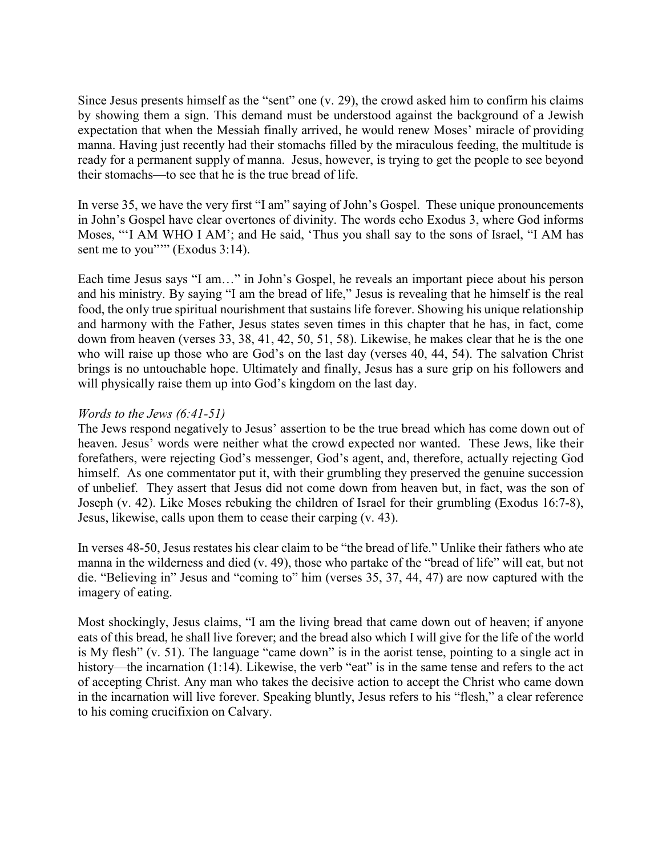Since Jesus presents himself as the "sent" one (v. 29), the crowd asked him to confirm his claims by showing them a sign. This demand must be understood against the background of a Jewish expectation that when the Messiah finally arrived, he would renew Moses' miracle of providing manna. Having just recently had their stomachs filled by the miraculous feeding, the multitude is ready for a permanent supply of manna. Jesus, however, is trying to get the people to see beyond their stomachs—to see that he is the true bread of life.

In verse 35, we have the very first "I am" saying of John's Gospel. These unique pronouncements in John's Gospel have clear overtones of divinity. The words echo Exodus 3, where God informs Moses, "'I AM WHO I AM'; and He said, 'Thus you shall say to the sons of Israel, "I AM has sent me to you""" (Exodus 3:14).

Each time Jesus says "I am…" in John's Gospel, he reveals an important piece about his person and his ministry. By saying "I am the bread of life," Jesus is revealing that he himself is the real food, the only true spiritual nourishment that sustains life forever. Showing his unique relationship and harmony with the Father, Jesus states seven times in this chapter that he has, in fact, come down from heaven (verses 33, 38, 41, 42, 50, 51, 58). Likewise, he makes clear that he is the one who will raise up those who are God's on the last day (verses 40, 44, 54). The salvation Christ brings is no untouchable hope. Ultimately and finally, Jesus has a sure grip on his followers and will physically raise them up into God's kingdom on the last day.

## *Words to the Jews (6:41-51)*

The Jews respond negatively to Jesus' assertion to be the true bread which has come down out of heaven. Jesus' words were neither what the crowd expected nor wanted. These Jews, like their forefathers, were rejecting God's messenger, God's agent, and, therefore, actually rejecting God himself. As one commentator put it, with their grumbling they preserved the genuine succession of unbelief. They assert that Jesus did not come down from heaven but, in fact, was the son of Joseph (v. 42). Like Moses rebuking the children of Israel for their grumbling (Exodus 16:7-8), Jesus, likewise, calls upon them to cease their carping (v. 43).

In verses 48-50, Jesus restates his clear claim to be "the bread of life." Unlike their fathers who ate manna in the wilderness and died (v. 49), those who partake of the "bread of life" will eat, but not die. "Believing in" Jesus and "coming to" him (verses 35, 37, 44, 47) are now captured with the imagery of eating.

Most shockingly, Jesus claims, "I am the living bread that came down out of heaven; if anyone eats of this bread, he shall live forever; and the bread also which I will give for the life of the world is My flesh" (v. 51). The language "came down" is in the aorist tense, pointing to a single act in history—the incarnation (1:14). Likewise, the verb "eat" is in the same tense and refers to the act of accepting Christ. Any man who takes the decisive action to accept the Christ who came down in the incarnation will live forever. Speaking bluntly, Jesus refers to his "flesh," a clear reference to his coming crucifixion on Calvary.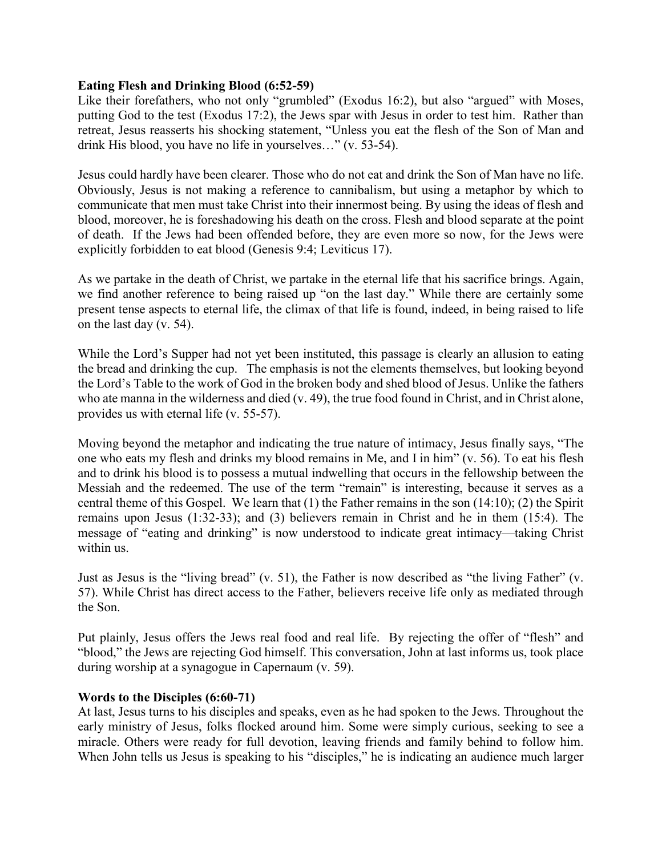### **Eating Flesh and Drinking Blood (6:52-59)**

Like their forefathers, who not only "grumbled" (Exodus 16:2), but also "argued" with Moses, putting God to the test (Exodus 17:2), the Jews spar with Jesus in order to test him. Rather than retreat, Jesus reasserts his shocking statement, "Unless you eat the flesh of the Son of Man and drink His blood, you have no life in yourselves…" (v. 53-54).

Jesus could hardly have been clearer. Those who do not eat and drink the Son of Man have no life. Obviously, Jesus is not making a reference to cannibalism, but using a metaphor by which to communicate that men must take Christ into their innermost being. By using the ideas of flesh and blood, moreover, he is foreshadowing his death on the cross. Flesh and blood separate at the point of death. If the Jews had been offended before, they are even more so now, for the Jews were explicitly forbidden to eat blood (Genesis 9:4; Leviticus 17).

As we partake in the death of Christ, we partake in the eternal life that his sacrifice brings. Again, we find another reference to being raised up "on the last day." While there are certainly some present tense aspects to eternal life, the climax of that life is found, indeed, in being raised to life on the last day (v. 54).

While the Lord's Supper had not yet been instituted, this passage is clearly an allusion to eating the bread and drinking the cup. The emphasis is not the elements themselves, but looking beyond the Lord's Table to the work of God in the broken body and shed blood of Jesus. Unlike the fathers who ate manna in the wilderness and died (v. 49), the true food found in Christ, and in Christ alone, provides us with eternal life (v. 55-57).

Moving beyond the metaphor and indicating the true nature of intimacy, Jesus finally says, "The one who eats my flesh and drinks my blood remains in Me, and I in him" (v. 56). To eat his flesh and to drink his blood is to possess a mutual indwelling that occurs in the fellowship between the Messiah and the redeemed. The use of the term "remain" is interesting, because it serves as a central theme of this Gospel. We learn that (1) the Father remains in the son (14:10); (2) the Spirit remains upon Jesus (1:32-33); and (3) believers remain in Christ and he in them (15:4). The message of "eating and drinking" is now understood to indicate great intimacy—taking Christ within us.

Just as Jesus is the "living bread" (v. 51), the Father is now described as "the living Father" (v. 57). While Christ has direct access to the Father, believers receive life only as mediated through the Son.

Put plainly, Jesus offers the Jews real food and real life. By rejecting the offer of "flesh" and "blood," the Jews are rejecting God himself. This conversation, John at last informs us, took place during worship at a synagogue in Capernaum (v. 59).

# **Words to the Disciples (6:60-71)**

At last, Jesus turns to his disciples and speaks, even as he had spoken to the Jews. Throughout the early ministry of Jesus, folks flocked around him. Some were simply curious, seeking to see a miracle. Others were ready for full devotion, leaving friends and family behind to follow him. When John tells us Jesus is speaking to his "disciples," he is indicating an audience much larger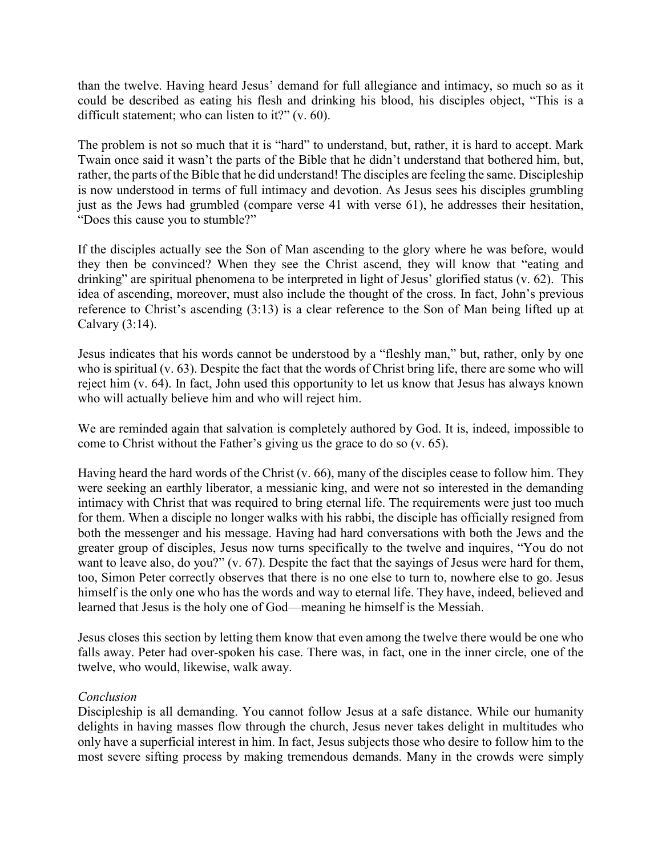than the twelve. Having heard Jesus' demand for full allegiance and intimacy, so much so as it could be described as eating his flesh and drinking his blood, his disciples object, "This is a difficult statement; who can listen to it?" (v. 60).

The problem is not so much that it is "hard" to understand, but, rather, it is hard to accept. Mark Twain once said it wasn't the parts of the Bible that he didn't understand that bothered him, but, rather, the parts of the Bible that he did understand! The disciples are feeling the same. Discipleship is now understood in terms of full intimacy and devotion. As Jesus sees his disciples grumbling just as the Jews had grumbled (compare verse 41 with verse 61), he addresses their hesitation, "Does this cause you to stumble?"

If the disciples actually see the Son of Man ascending to the glory where he was before, would they then be convinced? When they see the Christ ascend, they will know that "eating and drinking" are spiritual phenomena to be interpreted in light of Jesus' glorified status (v. 62). This idea of ascending, moreover, must also include the thought of the cross. In fact, John's previous reference to Christ's ascending (3:13) is a clear reference to the Son of Man being lifted up at Calvary (3:14).

Jesus indicates that his words cannot be understood by a "fleshly man," but, rather, only by one who is spiritual (v. 63). Despite the fact that the words of Christ bring life, there are some who will reject him (v. 64). In fact, John used this opportunity to let us know that Jesus has always known who will actually believe him and who will reject him.

We are reminded again that salvation is completely authored by God. It is, indeed, impossible to come to Christ without the Father's giving us the grace to do so (v. 65).

Having heard the hard words of the Christ (v. 66), many of the disciples cease to follow him. They were seeking an earthly liberator, a messianic king, and were not so interested in the demanding intimacy with Christ that was required to bring eternal life. The requirements were just too much for them. When a disciple no longer walks with his rabbi, the disciple has officially resigned from both the messenger and his message. Having had hard conversations with both the Jews and the greater group of disciples, Jesus now turns specifically to the twelve and inquires, "You do not want to leave also, do you?" (v. 67). Despite the fact that the sayings of Jesus were hard for them, too, Simon Peter correctly observes that there is no one else to turn to, nowhere else to go. Jesus himself is the only one who has the words and way to eternal life. They have, indeed, believed and learned that Jesus is the holy one of God—meaning he himself is the Messiah.

Jesus closes this section by letting them know that even among the twelve there would be one who falls away. Peter had over-spoken his case. There was, in fact, one in the inner circle, one of the twelve, who would, likewise, walk away.

### *Conclusion*

Discipleship is all demanding. You cannot follow Jesus at a safe distance. While our humanity delights in having masses flow through the church, Jesus never takes delight in multitudes who only have a superficial interest in him. In fact, Jesus subjects those who desire to follow him to the most severe sifting process by making tremendous demands. Many in the crowds were simply